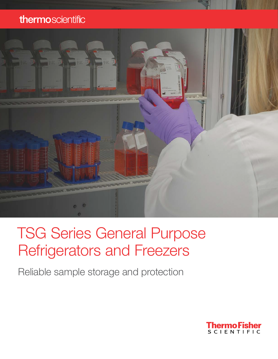### thermoscientific



# TSG Series General Purpose Refrigerators and Freezers

Reliable sample storage and protection

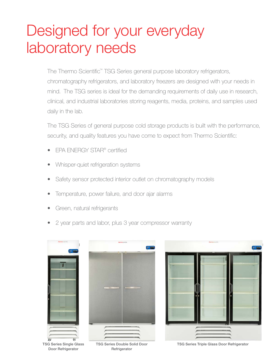# Designed for your everyday laboratory needs

The Thermo Scientific™ TSG Series general purpose laboratory refrigerators, chromatography refrigerators, and laboratory freezers are designed with your needs in mind. The TSG series is ideal for the demanding requirements of daily use in research, clinical, and industrial laboratories storing reagents, media, proteins, and samples used daily in the lab.

The TSG Series of general purpose cold storage products is built with the performance, security, and quality features you have come to expect from Thermo Scientific:

- EPA ENERGY STAR® certified
- Whisper-quiet refrigeration systems
- Safety sensor protected interior outlet on chromatography models
- Temperature, power failure, and door ajar alarms
- Green, natural refrigerants
- 2 year parts and labor, plus 3 year compressor warranty



TSG Series Single Glass Door Refrigerator





TSG Series Double Solid Door **Refrigerator** 

TSG Series Triple Glass Door Refrigerator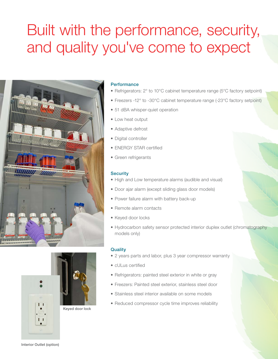# Built with the performance, security, and quality you've come to expect





Keyed door lock

### **Performance**

- Refrigerators: 2° to 10°C cabinet temperature range (5°C factory setpoint)
- Freezers -12° to -30°C cabinet temperature range (-23°C factory setpoint)
- 51 dBA whisper-quiet operation
- Low heat output
- Adaptive defrost
- Digital controller
- ENERGY STAR certified
- Green refrigerants

#### **Security**

- High and Low temperature alarms (audible and visual)
- Door ajar alarm (except sliding glass door models)
- Power failure alarm with battery back-up
- Remote alarm contacts
- Keyed door locks
- Hydrocarbon safety sensor protected interior duplex outlet (chromatography models only)

#### **Quality**

- 2 years parts and labor, plus 3 year compressor warranty
- cULus certified
- Refrigerators: painted steel exterior in white or gray
- Freezers: Painted steel exterior, stainless steel door
- Stainless steel interior available on some models
- Reduced compressor cycle time improves reliability

Interior Outlet (option)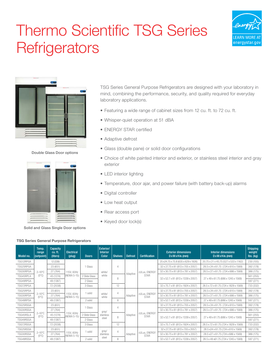# Thermo Scientific TSG Series **Refrigerators**





Double Glass Door options



Solid and Glass Single Door options

TSG Series General Purpose Refrigerators are designed with your laboratory in mind, combining the performance, security, and quality required for everyday laboratory applications.

- Featuring a wide range of cabinet sizes from 12 cu. ft. to 72 cu. ft.
- Whisper-quiet operation at 51 dBA
- ENERGY STAR certified
- Adaptive defrost
- Glass (double pane) or solid door configurations
- Choice of white painted interior and exterior, or stainless steel interior and gray exterior
- LED interior lighting
- Temperature, door ajar, and power failure (with battery back-up) alarms
- Digital controller
- Low heat output
- Rear access port
- Keyed door lock(s)

| Model no. | Temp.<br>range<br>(setpoint)         | Capacity<br>cu. ft.<br>(liters) | <b>Electrical</b><br>(plug) | <b>Doors</b>  | Exterior/<br><b>Interior</b><br><b>Color</b> | <b>Shelves</b> | <b>Defrost</b> | <b>Certification</b>               | <b>Exterior dimensions</b><br>$D x W x H$ in. (mm) | <b>Interior dimensions</b><br>$D x W x H$ in. (mm) | <b>Shipping</b><br>weight<br>lbs. (kg) |
|-----------|--------------------------------------|---------------------------------|-----------------------------|---------------|----------------------------------------------|----------------|----------------|------------------------------------|----------------------------------------------------|----------------------------------------------------|----------------------------------------|
| TSG12RPGA |                                      | 12 (339)                        |                             |               |                                              |                |                |                                    | 25 x24.75 x 75.8 (635 x 629 x 1926)                | 20.75 x 21 x 45.75 (527 x 533 x 1162)              | 230 (105)                              |
| TSG25RPGA |                                      | 23 (651)                        |                             | 1 Glass       |                                              | Δ              |                | cULus, ENERGY                      | 32 x 27.75 x 81 (813 x 705 x 2057)                 | 28.5 x 24 x 61.75 (724 x 610 x 1569)               | 392 (178)                              |
| TSG30RPGA | $2 - 10^{\circ}$ C                   | 27 (764)                        | 115V, 60Hz                  |               | white/                                       |                |                |                                    | 32 x 30.75 x 81 (813 x 781 x 2057)                 | 28.5 x 27 x 61.75 (724 x 686 x 1569)               | 386 (175)                              |
| TSG45RPLA | $(5^{\circ}C)$                       | 45 (1274)                       | (NEMA 5-15)                 | 2 Slide Glass | white                                        | Adaptive       | <b>STAR</b>    |                                    |                                                    | 561 (255)                                          |                                        |
| TSG49RPGA |                                      | 49 (1387)                       |                             | 2 Glass       | 8<br>12                                      |                |                | 32 x 52.7 x 81 (813 x 1339 x 2057) | 27 x 49 x 61.75 (686 x 1245 x 1569)                | 597 (271)                                          |                                        |
| TSG72RPGA |                                      | 72 (2038)                       |                             | 3 Glass       |                                              |                |                |                                    | 32 x 75.7 x 81 (813 x 1924 x 2057)                 | 28.5 x 72 x 61.75 (724 x 1829 x 1569)              | 733 (332)                              |
| TSG25RPSA |                                      | 23 (651)                        |                             |               |                                              | 4              | Adaptive       | cULus, ENERGY<br><b>STAR</b>       | 32 x 27.75 x 81 (813 x 705 x 2057)                 | 28.5 x 24 x 61.75 (724 x 610 x 1569)               | 392 (178)                              |
| TSG30RPSA | $2-10^{\circ}$ C<br>$(5^{\circ}C)$   | 27 (764)                        | 115V, 60Hz<br>(NEMA 5-15)   | 1 solid       | white/<br>white                              |                |                |                                    | 32 x 30.75 x 81 (813 x 781 x 2057)                 | 28.5 x 27 x 61.75 (724 x 686 x 1569)               | 386 (175)                              |
| TSG49RPSA |                                      | 49 (1387)                       |                             | 2 solid       |                                              | 8              |                |                                    | 32 x 52.7 x 81 (813 x 1339 x 2057)                 | 27 x 49 x 61.75 (686 x 1245 x 1569)                | 597 (271)                              |
| TSG25RSGA |                                      | 23 (651)                        |                             |               | gray/                                        | 4              |                | cULus, ENERGY<br><b>STAR</b>       | 32 x 27.75 x 81 (813 x 705 x 2057)                 | 28.5 x 24 x 61.75 (724 x 610 x 1569)               | 392 (178)                              |
| TSG30RSGA |                                      | 27 (764)                        |                             | 1 Glass       |                                              |                |                |                                    | 32 x 30.75 x 81 (813 x 781 x 2057)                 | 28.5 x 27 x 61.75 (724 x 686 x 1569)               | 386 (175)                              |
| TSG45RSLA | $2 - 10^{\circ}$ C<br>$(5^{\circ}C)$ | 45 (1274)                       | 115V, 60Hz<br>(NEMA 5-15)   | 2 Slide Glass | stainless                                    |                | Adaptive       |                                    |                                                    |                                                    | 561 (255)                              |
| TSG49RSGA |                                      | 49 (1387)                       |                             | 2 Glass       | steel                                        | 8              |                |                                    | 32 x 52.7 x 81 (813 x 1339 x 2057)                 | 27 x 49 x 61.75 (686 x 1245 x 1569)                | 597 (271)                              |
| TSG72RSGA |                                      | 72 (2038)                       |                             | 3 Glass       |                                              | 12             |                |                                    | 32 x 75.7 x 81 (813 x 1924 x 2057)                 | 28.5 x 72 x 61.75 (724 x 1829 x 1569)              | 733 (332)                              |
| TSG25RSSA |                                      | 23 (651)                        |                             |               | gray/                                        | 4              | Adaptive       | cULus, ENERGY<br><b>STAR</b>       | 32 x 27.75 x 81 (813 x 705 x 2057)                 | 28.5 x24 x 61.75 (724 x 610 x 1569)                | 392 (178)                              |
| TSG30RSSA | $2 - 10^{\circ}$ C<br>$(5^{\circ}C)$ | 27 (764)                        | 115V, 60Hz<br>(NEMA 5-15)   | 1 solid       | stainless                                    |                |                |                                    | 32 x 30.75 x 81 (813 x 781 x 2057)                 | 28.5 x27 x 61.75 (724 x 686 x 1569)                | 386 (175)                              |
| TSG49RSSA |                                      | 49 (1387)                       |                             | 2 solid       | steel                                        | 8              |                |                                    | 32 x 52.7 x 81 (813 x 1339 x 2057)                 | 28.5 x 49 x61.75 (724 x 1245 x 1569)               | 597 (271)                              |

#### TSG Series General Purpose Refrigerators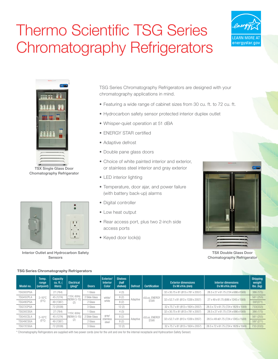# Thermo Scientific TSG Series Chromatography Refrigerators





TSX Single Glass Door Chomatography Refrigerator





Interior Outlet and Hydrocarbon Safety Sensors

TSG Series Chromatography Refrigerators are designed with your chromatography applications in mind.

- Featuring a wide range of cabinet sizes from 30 cu. ft. to 72 cu. ft.
- Hydrocarbon safety sensor protected interior duplex outlet
- Whisper-quiet operation at 51 dBA
- ENERGY STAR certified
- Adaptive defrost
- Double pane glass doors
- Choice of white painted interior and exterior, or stainless steel interior and gray exterior
- LED interior lighting
- Temperature, door ajar, and power failure (with battery back-up) alarms
- Digital controller
- Low heat output
- Rear access port, plus two 2-inch side access ports
- Keyed door lock(s)



TSX Double Glass Door Chomatography Refrigerator

### TSG Series Chromatography Refrigerators

| Model no. | Temp.<br>range<br>(setpoint)         | Capacity<br>$cu.$ ft.<br>liters) | Electrical<br>$(plug)^*$  | <b>Doors</b>  | Exterior/<br><b>Interior</b><br><b>Color</b> | <b>Shelves</b><br>(half<br>shelves) | <b>Defrost</b> | <b>Certification</b>               | <b>Exterior dimensions</b><br>$D x W x H$ in. (mm) | <b>Interior dimensions</b><br>$D x W x H$ in. (mm) | <b>Shipping</b><br>weight<br>$\mathsf{lbs.}\left(\mathsf{kg}\right)$ |
|-----------|--------------------------------------|----------------------------------|---------------------------|---------------|----------------------------------------------|-------------------------------------|----------------|------------------------------------|----------------------------------------------------|----------------------------------------------------|----------------------------------------------------------------------|
| TSG30CPGA |                                      | 27(764)                          |                           | Glass         |                                              | 4(3)                                |                |                                    | 32 x 30.75 x 81 (813 x 781 x 2057)                 | 28.5 x 27 x 61.75 (724 x 686 x 1569)               | 386 (175)                                                            |
| TSG45CPLA | $2-10^{\circ}$ C                     | 45 (1274)                        | 115V, 60Hz<br>(NEMA 5-15) | 2 Slide Glass | white/                                       | 8(2)                                | Adaptive       | cULus, ENERGY<br><b>STAR</b>       | 32 x 52.7 x 81 (813 x 1339 x 2057)                 | 27 x 49 x 61.75 (686 x 1245 x 1569)                | 561 (255)                                                            |
| TSG49CPGA | $(5^{\circ}C)$                       | 49 (1387)                        | (2)                       | 2 Glass       | white                                        | 8(2)                                |                |                                    |                                                    |                                                    | 597(271)                                                             |
| TSG72CPGA |                                      | 72 (2038)                        |                           | 3 Glass       |                                              | 12(2)                               |                |                                    | 32 x 75.7 x 81 (813 x 1924 x 2057)                 | 28.5 x 72 x 61.75 (724 x 1829 x 1569)              | 733(332))                                                            |
| TSG30CSGA |                                      | 27 (764)                         | 115V, 60Hz                | I Glass       |                                              | 4(3)                                |                |                                    | 32 x 30.75 x 81 (813 x 781 x 2057)                 | 28.5 x 27 x 61.75 (724 x 686 x 1569)               | 386 (175)                                                            |
| TSG45CSLA | $2 - 10^{\circ}$ C<br>$(5^{\circ}C)$ | 45 (1274)                        | (NEMA 5-15)               | 2 Slide Glass | gray/                                        | 8(2)                                |                | cULus, ENERGY                      |                                                    |                                                    | 561 (255)                                                            |
| TSG49CSGA |                                      | 49 (1387)                        | (2)                       | 2 Glass       | stainless<br>steel                           | Adaptive<br>8(2)                    | <b>STAR</b>    | 32 x 52.7 x 81 (813 x 1339 x 2057) | 28.5 x 49 x 61.75 (724 x 1245 x 1569)              | 597 (271)                                          |                                                                      |
| TSG72CSGA |                                      | 72 (2038)                        |                           | 3 Glass       |                                              | 12(2)                               |                |                                    | 32 x 75.7 x 81 (813 x 1924 x 2057)                 | 28.5 x 72 x 61.75 (724 x 1829 x 1569)              | 733 (332))                                                           |

\* Chromatography Refrigerators are supplied with two power cords (one for the unit and one for the internal receptacle and Hydrocarbon Safety Sensor)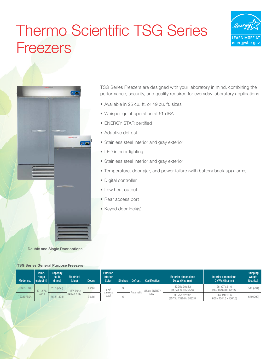# Thermo Scientific TSG Series **Freezers**





Double and Single Door options

TSG Series Freezers are designed with your laboratory in mind, combining the performance, security, and quality required for everyday laboratory applications.

- Available in 25 cu. ft. or 49 cu. ft. sizes
- Whisper-quiet operation at 51 dBA
- ENERGY STAR certified
- Adaptive defrost
- Stainless steel interior and gray exterior
- LED interior lighting
- Stainless steel interior and gray exterior
- Temperature, door ajar, and power failure (with battery back-up) alarms
- Digital controller
- Low heat output
- Rear access port
- Keyed door lock(s)

#### TSG Series General Purpose Freezers

| Model no. | Temp.<br>range<br>(setpoint) | <b>Capacity</b><br>cu. ft.<br>(liters) | Electrical<br>(plug) | <b>Doors</b> | Exterior/<br><b>Interior</b><br><b>Color</b> | <b>Shelves</b> | <b>Defrost</b> | <b>Certification</b> | <b>Exterior dimensions</b><br>$D x W x H$ in. (mm) | <b>Interior dimensions</b><br>$D x W x H$ in. (mm)  | <b>Shipping</b><br>weight<br>$\mathsf{lbs.}\left(\mathsf{kg}\right)$ |
|-----------|------------------------------|----------------------------------------|----------------------|--------------|----------------------------------------------|----------------|----------------|----------------------|----------------------------------------------------|-----------------------------------------------------|----------------------------------------------------------------------|
| TSG25FSSA | $-12 - -24$ °C               | 26.5(750)                              | 115V, 60Hz           | solid        | gray/<br>stainless<br>steel<br>2 solid       | J.             | Automatic      | cULus, ENERGY        | 33.75 x 30 x 82<br>(857.3 x 762 x 2082.8)          | 26 x27 x 61.6<br>$(660 \times 658.8 \times 1564.6)$ | 516 (234)                                                            |
| TSG49FSSA | $(-23°C)$                    | 46.2 (1308)                            | (NEMA 5-15)          |              |                                              |                |                | <b>STAR</b>          | 33.75 x 52 x 82<br>(857.3 x 1320.8 x 2082.8)       | 26 x 49 x 61.6<br>(660 x 1244.6 x 1564.6)           | 640 (290)                                                            |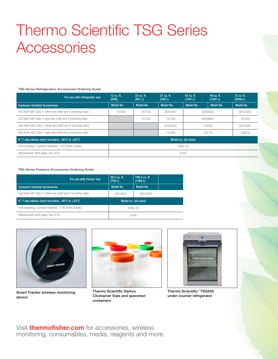# Thermo Scientific TSG Series **Accessories**

#### TSG Series Refrigerators Accessories Ordering Guide

| For use with refrigerator size                                           | 12 cu. ft.<br>(339L) | 23 cu. ft.<br>(651 L) | 27 cu. ft.<br>(764 L) | 45 cu. ft.<br>(1447 L) | 49 cu. ft.<br>(1387 L) | 72 cu. ft.<br>(2038 L) |  |
|--------------------------------------------------------------------------|----------------------|-----------------------|-----------------------|------------------------|------------------------|------------------------|--|
| <b>Customer-Installed Accessories</b>                                    | <b>Model No.</b>     | Model No.             | Model No.             | Model No.              | Model No.              | <b>Model No.</b>       |  |
| Full Shelf with Clips (1 white wire shelf and 4 mounting clips)          | 7510TA               | 7511TA                | AY2100X1              | AY2095X2               |                        | AY2102X2               |  |
| Full Shelf with Clips (1 gray wire shelf and 4 mounting clips)           |                      | 7512TA                | 7513TA                | AY2098X1               |                        | 7514TA                 |  |
| Half Shelf with Clips (1 white wire shelf and 4 mounting clips)          |                      |                       | AY2020X2              | 7520TA                 |                        | AY2102X1               |  |
| Half Shelf with Clips (1 gray wire shelf and 4 mounting clips)           |                      |                       | 7518TA                |                        | 7521TA                 | 7522TA                 |  |
| $6"$ 7-day inkless chart recorders, -40 $^{\circ}$ C to +25 $^{\circ}$ C |                      |                       |                       | Model no. (all sizes)  |                        |                        |  |
| Free-standing, customer-installed, 115V, 60Hz models                     | 6383-7A              |                       |                       |                        |                        |                        |  |
| Replacement chart paper, box of 50                                       | 6184                 |                       |                       |                        |                        |                        |  |

#### TSG Series Freezers Accessories Ordering Guide

| For use with freezer size                                                | 26.5 cu. ft.<br>(750 L) | 746.2 cu. ft.<br>(1308 L) |  |
|--------------------------------------------------------------------------|-------------------------|---------------------------|--|
| <b>Customer-Installed Accessories</b>                                    | Model No.               | Model No.                 |  |
| Full Shelf with Clips (1 white wire shelf and 4 mounting clips)          | AY2100X1                | AY2102X2                  |  |
| $6"$ 7-day inkless chart recorders, -40 $^{\circ}$ C to +25 $^{\circ}$ C |                         | Model no. (all sizes)     |  |
| Free-standing, customer-installed, 115V, 60Hz models                     |                         | 6383-7A                   |  |
| Replacement chart paper, box of 50                                       | 6184                    |                           |  |



Smart Tracker wireless monitoring device

Thermo Scientific Samco Clicktainer Vials and specimen containers



Thermo Scientific™ TSG505 under counter refrigerator

Visit **thermofisher.com** for accessories, wireless monitoring, consumables, media, reagents and more.